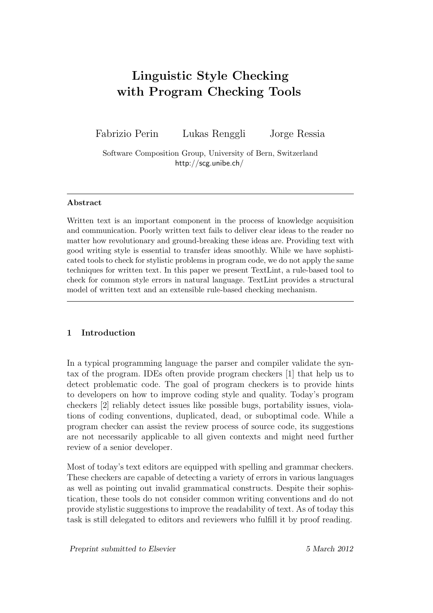# **Linguistic Style Checking with Program Checking Tools**

Fabrizio Perin Lukas Renggli Jorge Ressia

Software Composition Group, University of Bern, Switzerland http://scg.unibe.ch/

#### **Abstract**

Written text is an important component in the process of knowledge acquisition and communication. Poorly written text fails to deliver clear ideas to the reader no matter how revolutionary and ground-breaking these ideas are. Providing text with good writing style is essential to transfer ideas smoothly. While we have sophisticated tools to check for stylistic problems in program code, we do not apply the same techniques for written text. In this paper we present TextLint, a rule-based tool to check for common style errors in natural language. TextLint provides a structural model of written text and an extensible rule-based checking mechanism.

# **1 Introduction**

In a typical programming language the parser and compiler validate the syntax of the program. IDEs often provide program checkers [1] that help us to detect problematic code. The goal of program checkers is to provide hints to developers on how to improve coding style and quality. Today's program checkers [2] reliably detect issues like possible bugs, porta[bil](#page-17-0)ity issues, violations of coding conventions, duplicated, dead, or suboptimal code. While a program checker can assist the review process of source code, its suggestions are not [nec](#page-17-1)essarily applicable to all given contexts and might need further review of a senior developer.

Most of today's text editors are equipped with spelling and grammar checkers. These checkers are capable of detecting a variety of errors in various languages as well as pointing out invalid grammatical constructs. Despite their sophistication, these tools do not consider common writing conventions and do not provide stylistic suggestions to improve the readability of text. As of today this task is still delegated to editors and reviewers who fulfill it by proof reading.

*Preprint submitted to Elsevier 5 March 2012*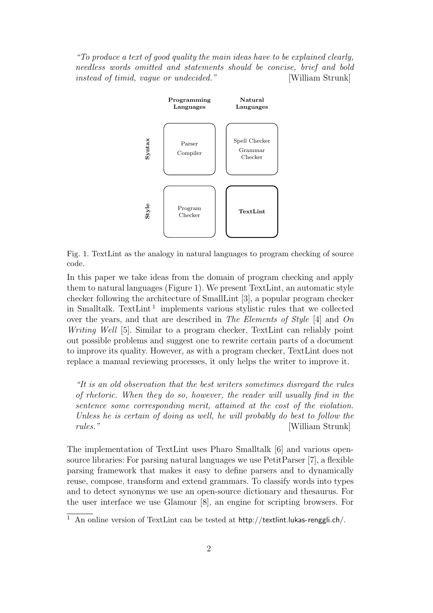<span id="page-1-0"></span>*"To produce a text of good quality the main ideas have to be explained clearly, needless words omitted and statements should be concise, brief and bold instead of timid, vague or undecided."* [William Strunk]



Fig. 1. TextLint as the analogy in natural languages to program checking of source code.

In this paper we take ideas from the domain of program checking and apply them to natural languages (Figure 1). We present TextLint, an automatic style checker following the architecture of SmallLint [3], a popular program checker in Smalltalk. TextLint<sup>1</sup> implements various stylistic rules that we collected over the years, and that a[re describ](#page-1-0)ed in *The Elements of Style* [4] and *On Writing Well* [5]. Similar to a program checke[r,](#page-17-2) TextLint can reliably point out possible problems [an](#page-1-1)d suggest one to rewrite certain parts of a document to improve its quality. However, as with a program checker, TextLi[nt](#page-17-3) does not replace a man[ua](#page-17-4)l reviewing processes, it only helps the writer to improve it.

*"It is an old observation that the best writers sometimes disregard the rules of rhetoric. When they do so, however, the reader will usually find in the sentence some corresponding merit, attained at the cost of the violation. Unless he is certain of doing as well, he will probably do best to follow the rules."* [William Strunk]

The implementation of TextLint uses Pharo Smalltalk [6] and various opensource libraries: For parsing natural languages we use  $PetitParser$  [7], a flexible parsing framework that makes it easy to define parsers and to dynamically reuse, compose, transform and extend grammars. To cla[ss](#page-17-5)ify words into types and to detect synonyms we use an open-source dictionary and th[es](#page-18-0)aurus. For the user interface we use Glamour [8], an engine for scripting browsers. For

<span id="page-1-1"></span><sup>&</sup>lt;sup>1</sup> An online version of TextLint can be tested at  $http://textlint.lukas-renggli.ch/$ .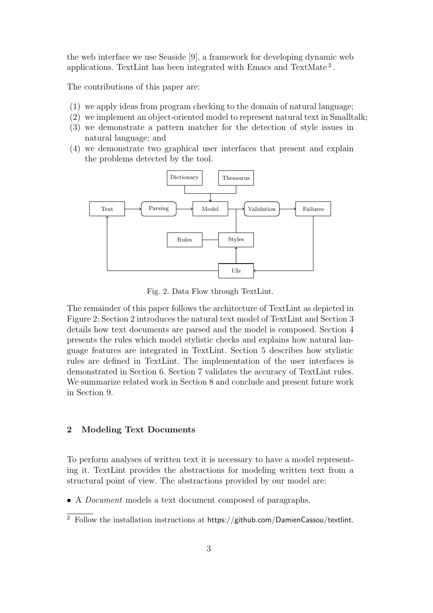the web interface we use Seaside [9], a framework for developing dynamic web applications. TextLint has been integrated with Emacs and TextMate<sup>2</sup>.

The contributions of this paper a[re](#page-18-1):

- (1) we apply ideas from program checking to the domain of natural la[ng](#page-2-0)uage;
- (2) we implement an object-oriented model to represent natural text in Smalltalk;
- (3) we demonstrate a pattern matcher for the detection of style issues in natural language; and
- (4) we demonstrate two graphical user interfaces that present and explain the problems detected by the tool.

<span id="page-2-1"></span>

Fig. 2. Data Flow through TextLint.

The remainder of this paper follows the architecture of TextLint as depicted in Figure 2: Section 2 introduces the natural text model of TextLint and Section 3 details how text documents are parsed and the model is composed. Section 4 presents the rules which model stylistic checks and explains how natural lan[guage fe](#page-2-1)[atures are](#page-2-2) integrated in TextLint. Section 5 describes ho[w stylistic](#page-4-0) rules are defined in TextLint. The implementation of the user int[erfaces is](#page-5-0) demonstrated in Section 6. Section 7 validates the accuracy of TextLint rules. We summarize related work in Section 8 and [conclude](#page-8-0) and present future work in Section 9.

#### **2 [Modeli](#page-16-0)ng Text Documents**

<span id="page-2-2"></span>To perform analyses of written text it is necessary to have a model representing it. TextLint provides the abstractions for modeling written text from a structural point of view. The abstractions provided by our model are:

*•* A *Document* models a text document composed of paragraphs.

<span id="page-2-0"></span> $\overline{2}$  Follow the installation instructions at https://github.com/DamienCassou/textlint.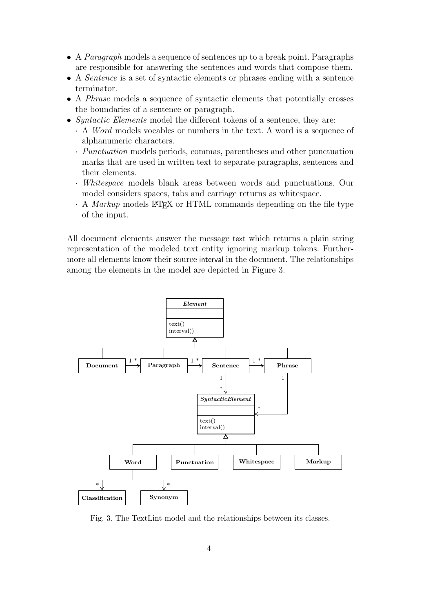- *•* A *Paragraph* models a sequence of sentences up to a break point. Paragraphs are responsible for answering the sentences and words that compose them.
- *•* A *Sentence* is a set of syntactic elements or phrases ending with a sentence terminator.
- *•* A *Phrase* models a sequence of syntactic elements that potentially crosses the boundaries of a sentence or paragraph.
- *• Syntactic Elements* model the different tokens of a sentence, they are:
	- *·* A *Word* models vocables or numbers in the text. A word is a sequence of alphanumeric characters.
	- *· Punctuation* models periods, commas, parentheses and other punctuation marks that are used in written text to separate paragraphs, sentences and their elements.
	- *· Whitespace* models blank areas between words and punctuations. Our model considers spaces, tabs and carriage returns as whitespace.
	- *·* A *Markup* models LATEX or HTML commands depending on the file type of the input.

All document elements answer the message text which returns a plain string representation of the modeled text entity ignoring markup tokens. Furthermore all elements know their source interval in the document. The relationships among the elements in the model are depicted in Figure 3.



Fig. 3. The TextLint model and the relationships between its classes.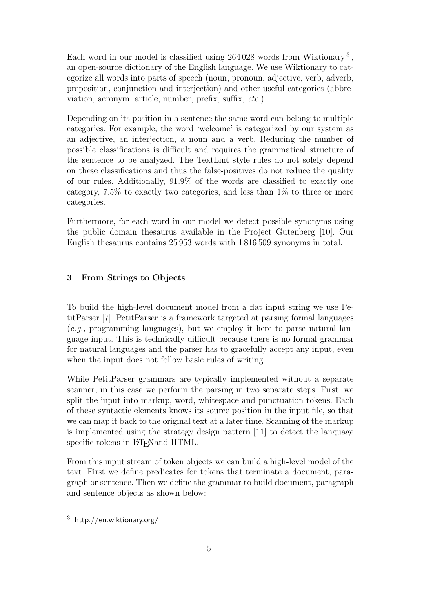Each word in our model is classified using 264028 words from Wiktionary<sup>3</sup>, an open-source dictionary of the English language. We use Wiktionary to categorize all words into parts of speech (noun, pronoun, adjective, verb, adverb, preposition, conjunction and interjection) and other useful categories (abb[re](#page-4-1)viation, acronym, article, number, prefix, suffix, *etc.*).

Depending on its position in a sentence the same word can belong to multiple categories. For example, the word 'welcome' is categorized by our system as an adjective, an interjection, a noun and a verb. Reducing the number of possible classifications is difficult and requires the grammatical structure of the sentence to be analyzed. The TextLint style rules do not solely depend on these classifications and thus the false-positives do not reduce the quality of our rules. Additionally, 91.9% of the words are classified to exactly one category, 7.5% to exactly two categories, and less than 1% to three or more categories.

Furthermore, for each word in our model we detect possible synonyms using the public domain thesaurus available in the Project Gutenberg [10]. Our English thesaurus contains 25 953 words with 1 816 509 synonyms in total.

# **3 From Strings to Objects**

<span id="page-4-0"></span>To build the high-level document model from a flat input string we use PetitParser [7]. PetitParser is a framework targeted at parsing formal languages (*e.g.,* programming languages), but we employ it here to parse natural language input. This is technically difficult because there is no formal grammar for natura[l](#page-18-0) languages and the parser has to gracefully accept any input, even when the input does not follow basic rules of writing.

While PetitParser grammars are typically implemented without a separate scanner, in this case we perform the parsing in two separate steps. First, we split the input into markup, word, whitespace and punctuation tokens. Each of these syntactic elements knows its source position in the input file, so that we can map it back to the original text at a later time. Scanning of the markup is implemented using the strategy design pattern [11] to detect the language specific tokens in LAT<sub>E</sub>X and HTML.

From this input stream of token objects we can build a high-level model of the text. First we define predicates for tokens that te[rmi](#page-18-2)nate a document, paragraph or sentence. Then we define the grammar to build document, paragraph and sentence objects as shown below:

<span id="page-4-1"></span> $\frac{3}{3}$  http://en.wiktionary.org/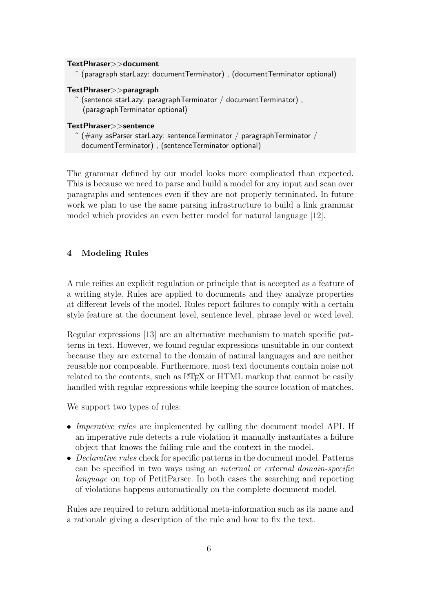# **TextPhraser***>>***document**

ˆ (paragraph starLazy: documentTerminator) , (documentTerminator optional)

#### **TextPhraser***>>***paragraph**

 $\hat{ }$  (sentence starLazy: paragraphTerminator / documentTerminator), (paragraphTerminator optional)

#### **TextPhraser***>>***sentence**

 $\hat{p}$  (#any asParser starLazy: sentenceTerminator / paragraphTerminator / documentTerminator) , (sentenceTerminator optional)

The grammar defined by our model looks more complicated than expected. This is because we need to parse and build a model for any input and scan over paragraphs and sentences even if they are not properly terminated. In future work we plan to use the same parsing infrastructure to build a link grammar model which provides an even better model for natural language [12].

# **4 Modeling Rules**

<span id="page-5-0"></span>A rule reifies an explicit regulation or principle that is accepted as a feature of a writing style. Rules are applied to documents and they analyze properties at different levels of the model. Rules report failures to comply with a certain style feature at the document level, sentence level, phrase level or word level.

Regular expressions [13] are an alternative mechanism to match specific patterns in text. However, we found regular expressions unsuitable in our context because they are external to the domain of natural languages and are neither reusable nor compos[able](#page-18-3). Furthermore, most text documents contain noise not related to the contents, such as LATEX or HTML markup that cannot be easily handled with regular expressions while keeping the source location of matches.

We support two types of rules:

- *• Imperative rules* are implemented by calling the document model API. If an imperative rule detects a rule violation it manually instantiates a failure object that knows the failing rule and the context in the model.
- *• Declarative rules* check for specific patterns in the document model. Patterns can be specified in two ways using an *internal* or *external domain-specific language* on top of PetitParser. In both cases the searching and reporting of violations happens automatically on the complete document model.

Rules are required to return additional meta-information such as its name and a rationale giving a description of the rule and how to fix the text.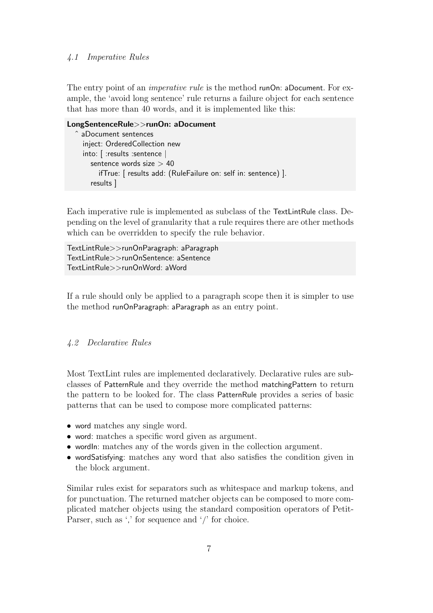#### *4.1 Imperative Rules*

The entry point of an *imperative rule* is the method runOn: aDocument. For example, the 'avoid long sentence' rule returns a failure object for each sentence that has more than 40 words, and it is implemented like this:

```
LongSentenceRule>>runOn: aDocument
  ˆ aDocument sentences
    inject: OrderedCollection new
    into: [ :results :sentence |
      sentence words size > 40
         ifTrue: [ results add: (RuleFailure on: self in: sentence) ].
       results ]
```
Each imperative rule is implemented as subclass of the TextLintRule class. Depending on the level of granularity that a rule requires there are other methods which can be overridden to specify the rule behavior.

TextLintRule*>>*runOnParagraph: aParagraph TextLintRule*>>*runOnSentence: aSentence TextLintRule*>>*runOnWord: aWord

If a rule should only be applied to a paragraph scope then it is simpler to use the method runOnParagraph: aParagraph as an entry point.

#### *4.2 Declarative Rules*

Most TextLint rules are implemented declaratively. Declarative rules are subclasses of PatternRule and they override the method matchingPattern to return the pattern to be looked for. The class PatternRule provides a series of basic patterns that can be used to compose more complicated patterns:

- word matches any single word.
- word: matches a specific word given as argument.
- wordln: matches any of the words given in the collection argument.
- *•* wordSatisfying: matches any word that also satisfies the condition given in the block argument.

Similar rules exist for separators such as whitespace and markup tokens, and for punctuation. The returned matcher objects can be composed to more complicated matcher objects using the standard composition operators of Petit-Parser, such as ',' for sequence and '/' for choice.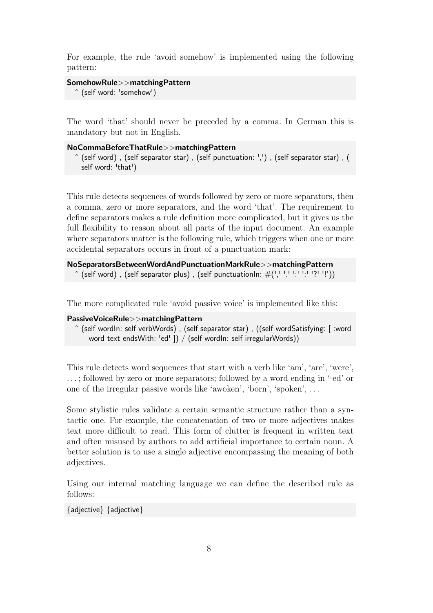For example, the rule 'avoid somehow' is implemented using the following pattern:

```
SomehowRule>>matchingPattern
```

```
ˆ (self word: 'somehow')
```
The word 'that' should never be preceded by a comma. In German this is mandatory but not in English.

```
NoCommaBeforeThatRule>>matchingPattern
```

```
\hat{a} (self word), (self separator star), (self punctuation: ','), (self separator star), (
  self word: 'that')
```
This rule detects sequences of words followed by zero or more separators, then a comma, zero or more separators, and the word 'that'. The requirement to define separators makes a rule definition more complicated, but it gives us the full flexibility to reason about all parts of the input document. An example where separators matter is the following rule, which triggers when one or more accidental separators occurs in front of a punctuation mark:

```
NoSeparatorsBetweenWordAndPunctuationMarkRule>>matchingPattern
  \hat{a} (self word), (self separator plus), (self punctuationIn: \#(\cdot, \cdot, \cdot, \cdot, \cdot, \cdot, \cdot, \cdot))
```
The more complicated rule 'avoid passive voice' is implemented like this:

# **PassiveVoiceRule***>>***matchingPattern**

ˆ (self wordIn: self verbWords) , (self separator star) , ((self wordSatisfying: [ :word *|* word text endsWith: 'ed' ]) / (self wordIn: self irregularWords))

This rule detects word sequences that start with a verb like 'am', 'are', 'were', . . . ; followed by zero or more separators; followed by a word ending in '-ed' or one of the irregular passive words like 'awoken', 'born', 'spoken', . . .

Some stylistic rules validate a certain semantic structure rather than a syntactic one. For example, the concatenation of two or more adjectives makes text more difficult to read. This form of clutter is frequent in written text and often misused by authors to add artificial importance to certain noun. A better solution is to use a single adjective encompassing the meaning of both adjectives.

Using our internal matching language we can define the described rule as follows:

*{*adjective*} {*adjective*}*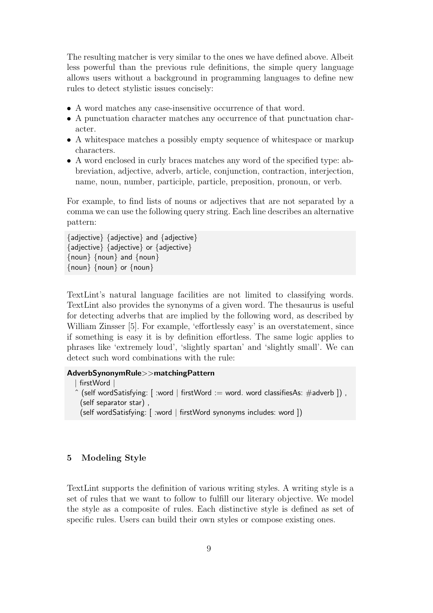The resulting matcher is very similar to the ones we have defined above. Albeit less powerful than the previous rule definitions, the simple query language allows users without a background in programming languages to define new rules to detect stylistic issues concisely:

- *•* A word matches any case-insensitive occurrence of that word.
- *•* A punctuation character matches any occurrence of that punctuation character.
- A whitespace matches a possibly empty sequence of whitespace or markup characters.
- *•* A word enclosed in curly braces matches any word of the specified type: abbreviation, adjective, adverb, article, conjunction, contraction, interjection, name, noun, number, participle, particle, preposition, pronoun, or verb.

For example, to find lists of nouns or adjectives that are not separated by a comma we can use the following query string. Each line describes an alternative pattern:

*{*adjective*} {*adjective*}* and *{*adjective*} {*adjective*} {*adjective*}* or *{*adjective*} {*noun*} {*noun*}* and *{*noun*} {*noun*} {*noun*}* or *{*noun*}*

TextLint's natural language facilities are not limited to classifying words. TextLint also provides the synonyms of a given word. The thesaurus is useful for detecting adverbs that are implied by the following word, as described by William Zinsser [5]. For example, 'effortlessly easy' is an overstatement, since if something is easy it is by definition effortless. The same logic applies to phrases like 'extremely loud', 'slightly spartan' and 'slightly small'. We can detect such word [c](#page-17-4)ombinations with the rule:

#### **AdverbSynonymRule***>>***matchingPattern**

```
| firstWord |
ˆ (self wordSatisfying: [ :word | firstWord := word. word classifiesAs: #adverb ]) ,
 (self separator star) ,
 (self wordSatisfying: [ :word | firstWord synonyms includes: word ])
```
#### **5 Modeling Style**

<span id="page-8-0"></span>TextLint supports the definition of various writing styles. A writing style is a set of rules that we want to follow to fulfill our literary objective. We model the style as a composite of rules. Each distinctive style is defined as set of specific rules. Users can build their own styles or compose existing ones.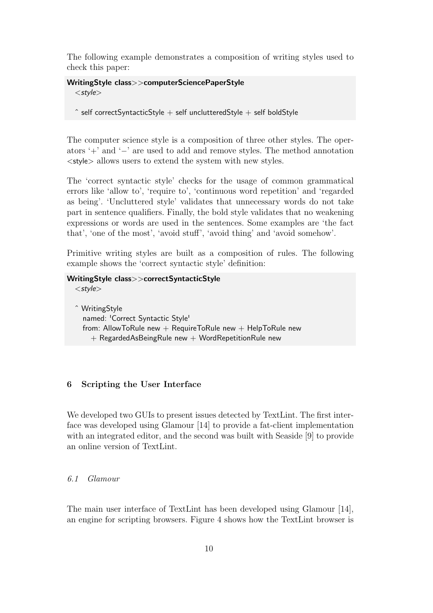The following example demonstrates a composition of writing styles used to check this paper:

# **WritingStyle class***>>***computerSciencePaperStyle**

*<style>*

 $\hat{ }$  self correctSyntacticStyle  $+$  self unclutteredStyle  $+$  self boldStyle

The computer science style is a composition of three other styles. The operators '+' and '*−*' are used to add and remove styles. The method annotation *<*style*>* allows users to extend the system with new styles.

The 'correct syntactic style' checks for the usage of common grammatical errors like 'allow to', 'require to', 'continuous word repetition' and 'regarded as being'. 'Uncluttered style' validates that unnecessary words do not take part in sentence qualifiers. Finally, the bold style validates that no weakening expressions or words are used in the sentences. Some examples are 'the fact that', 'one of the most', 'avoid stuff', 'avoid thing' and 'avoid somehow'.

Primitive writing styles are built as a composition of rules. The following example shows the 'correct syntactic style' definition:

# **WritingStyle class***>>***correctSyntacticStyle**

*<style>*

ˆ WritingStyle named: 'Correct Syntactic Style' from: AllowToRule new  $+$  RequireToRule new  $+$  HelpToRule new  $+$  RegardedAsBeingRule new  $+$  WordRepetitionRule new

# **6 Scripting the User Interface**

We developed two GUIs to present issues detected by TextLint. The first interface was developed using Glamour [14] to provide a fat-client implementation with an integrated editor, and the second was built with Seaside [9] to provide an online version of TextLint.

# *6.1 Glamour*

The main user interface of TextLint has been developed using Glamour [14], an engine for scripting browsers. Figure 4 shows how the TextLint browser is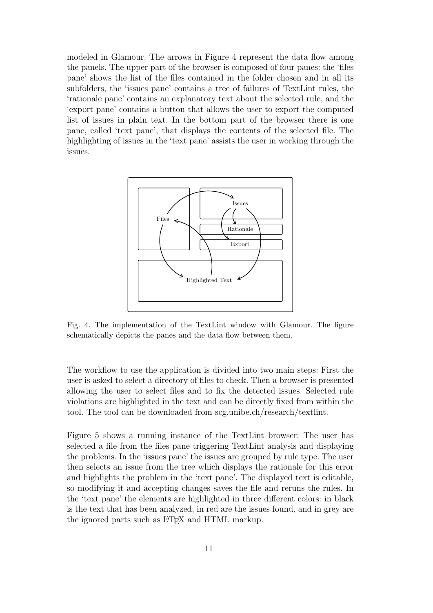modeled in Glamour. The arrows in Figure 4 represent the data flow among the panels. The upper part of the browser is composed of four panes: the 'files pane' shows the list of the files contained in the folder chosen and in all its subfolders, the 'issues pane' contains [a tree o](#page-10-0)f failures of TextLint rules, the 'rationale pane' contains an explanatory text about the selected rule, and the 'export pane' contains a button that allows the user to export the computed list of issues in plain text. In the bottom part of the browser there is one pane, called 'text pane', that displays the contents of the selected file. The highlighting of issues in the 'text pane' assists the user in working through the issues.

<span id="page-10-0"></span>

Fig. 4. The implementation of the TextLint window with Glamour. The figure schematically depicts the panes and the data flow between them.

The workflow to use the application is divided into two main steps: First the user is asked to select a directory of files to check. Then a browser is presented allowing the user to select files and to fix the detected issues. Selected rule violations are highlighted in the text and can be directly fixed from within the tool. The tool can be downloaded from scg.unibe.ch/research/textlint.

Figure 5 shows a running instance of the TextLint browser: The user has selected a file from the files pane trigge[ring TextLint analysis and dis](http://scg.unibe.ch/research/textlint)playing the problems. In the 'issues pane' the issues are grouped by rule type. The user [then sele](#page-11-0)cts an issue from the tree which displays the rationale for this error and highlights the problem in the 'text pane'. The displayed text is editable, so modifying it and accepting changes saves the file and reruns the rules. In the 'text pane' the elements are highlighted in three different colors: in black is the text that has been analyzed, in red are the issues found, and in grey are the ignored parts such as L<sup>AT</sup>EX and HTML markup.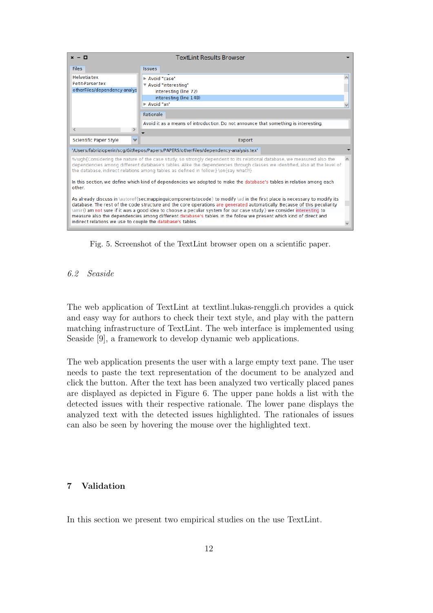<span id="page-11-0"></span>

| $x - \Box$                                                                                                                                                                                                                                                                                                                                                                                                                                                                                                                                                         | <b>Textl int Results Browser</b>                                                                                    |  |  |  |
|--------------------------------------------------------------------------------------------------------------------------------------------------------------------------------------------------------------------------------------------------------------------------------------------------------------------------------------------------------------------------------------------------------------------------------------------------------------------------------------------------------------------------------------------------------------------|---------------------------------------------------------------------------------------------------------------------|--|--|--|
| <b>Files</b>                                                                                                                                                                                                                                                                                                                                                                                                                                                                                                                                                       | <b>Issues</b>                                                                                                       |  |  |  |
| <b>Helvetia tex</b><br>Petit-Parser tex<br>otherFiles/dependency-analys                                                                                                                                                                                                                                                                                                                                                                                                                                                                                            | Avoid "case"<br>▼ Avoid "interesting"<br>interesting (line 72)<br>interesting (line 148)<br>Avoid "an"<br>Rationale |  |  |  |
|                                                                                                                                                                                                                                                                                                                                                                                                                                                                                                                                                                    | Avoid it as a means of introduction. Do not announce that something is interesting.                                 |  |  |  |
|                                                                                                                                                                                                                                                                                                                                                                                                                                                                                                                                                                    |                                                                                                                     |  |  |  |
| <b>Scientific Paper Style</b><br>$\overline{\phantom{a}}$                                                                                                                                                                                                                                                                                                                                                                                                                                                                                                          | Export                                                                                                              |  |  |  |
| '/Users/fabrizioperin/scg/GitRepos/Papers/PAPERS/otherFiles/dependency-analysis.tex'                                                                                                                                                                                                                                                                                                                                                                                                                                                                               |                                                                                                                     |  |  |  |
| %\ugh{Considering the nature of the case study, so strongly dependent to its relational database, we measured also the<br>dependencies among different database's tables. Alike the dependencies through classes we identified, also at the level of<br>the database, indirect relations among tables as defined in follow:} \on{say what?!}                                                                                                                                                                                                                       |                                                                                                                     |  |  |  |
| In this section, we define which kind of dependencies we adopted to make the database's tables in relation among each<br>other                                                                                                                                                                                                                                                                                                                                                                                                                                     |                                                                                                                     |  |  |  |
| As already discuss in \autoref{secmappinguicomponentstocode} to modify \ad in the first place is necessary to modify its<br>database. The rest of the code structure and the core operations are generated automatically. Because of this peculiarity<br>\amir{I am not sure if it was a good idea to choose a peculiar system for our case study.} we consider interesting to<br>measure also the dependencies among different database's tables. In the follow we present which kind of direct and<br>indirect relations we use to couple the database's tables. |                                                                                                                     |  |  |  |

Fig. 5. Screenshot of the TextLint browser open on a scientific paper.

# *6.2 Seaside*

The web application of TextLint at textlint.lukas-renggli.ch provides a quick and easy way for authors to check their text style, and play with the pattern matching infrastructure of TextLint. The web interface is implemented using Seaside [9], a framework to develop [dynamic web application](http://textlint.lukas-renggli.ch)s.

The web application presents the user with a large empty text pane. The user needs to [p](#page-18-1)aste the text representation of the document to be analyzed and click the button. After the text has been analyzed two vertically placed panes are displayed as depicted in Figure 6. The upper pane holds a list with the detected issues with their respective rationale. The lower pane displays the analyzed text with the detected issues highlighted. The rationales of issues can also be seen by hovering [the mous](#page-12-0)e over the highlighted text.

# **7 Validation**

In this section we present two empirical studies on the use TextLint.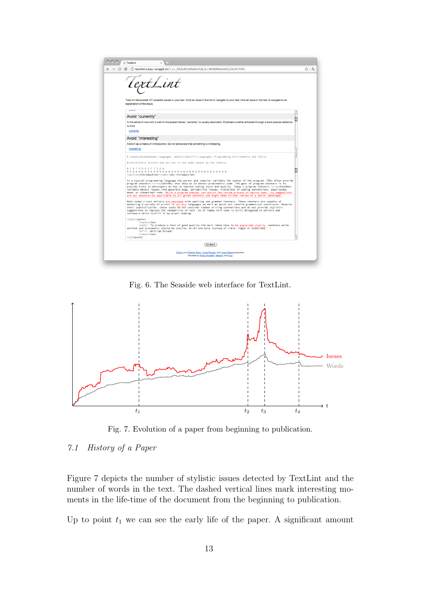<span id="page-12-0"></span>

| <b>た TextLint</b><br>$\mathbf{x}$                                                                                                                                             |                                                                                                                                                                                                                                                                                                                                                                                                                                                                                                                                                                                                                                                                                                    |   |     |  |
|-------------------------------------------------------------------------------------------------------------------------------------------------------------------------------|----------------------------------------------------------------------------------------------------------------------------------------------------------------------------------------------------------------------------------------------------------------------------------------------------------------------------------------------------------------------------------------------------------------------------------------------------------------------------------------------------------------------------------------------------------------------------------------------------------------------------------------------------------------------------------------------------|---|-----|--|
|                                                                                                                                                                               | C A C textlint.lukas-renggli.ch/? s= R4Zv4KLIKfwRcOn& k=3K0XR96oiHKCi3X1#57081                                                                                                                                                                                                                                                                                                                                                                                                                                                                                                                                                                                                                     |   | ☆ 및 |  |
|                                                                                                                                                                               | tLint<br>TextLint discovered 127 possible issues in your text. Click an issue in the list to navigate to your text; click an issue in the text to navigate to an<br>explanation of the issue.<br>$-$                                                                                                                                                                                                                                                                                                                                                                                                                                                                                               |   |     |  |
|                                                                                                                                                                               | Avoid "currently"                                                                                                                                                                                                                                                                                                                                                                                                                                                                                                                                                                                                                                                                                  | ٠ |     |  |
| In the sense of now with a verb in the present tense, "currently" is usually redundant. Emphasis is better achieved through a more precise reference<br>to time.<br>currently |                                                                                                                                                                                                                                                                                                                                                                                                                                                                                                                                                                                                                                                                                                    |   |     |  |
|                                                                                                                                                                               | Avoid "interesting"                                                                                                                                                                                                                                                                                                                                                                                                                                                                                                                                                                                                                                                                                |   |     |  |
|                                                                                                                                                                               | Avoid it as a means of introduction. Do not announce that something is interesting.                                                                                                                                                                                                                                                                                                                                                                                                                                                                                                                                                                                                                |   |     |  |
|                                                                                                                                                                               | interesting                                                                                                                                                                                                                                                                                                                                                                                                                                                                                                                                                                                                                                                                                        |   |     |  |
|                                                                                                                                                                               | % \keywords{Embedded Languages, Domain-Specific Languages, Programming Environments and Tools}<br>%\rev{3}{this article was not set in the same layout as the others}                                                                                                                                                                                                                                                                                                                                                                                                                                                                                                                              |   |     |  |
|                                                                                                                                                                               | <b>%INTRODUCTION</b><br>\section{Introduction}\label{sec:introduction}                                                                                                                                                                                                                                                                                                                                                                                                                                                                                                                                                                                                                             |   |     |  |
|                                                                                                                                                                               | In a typical programming language the parser and compiler validate the syntax of the program. IDEs often provide<br>program checkers \cite{John78a} that help us to detect problematic code. The goal of program checkers is to<br>provide hints to developers on how to improve coding style and quality. Today's program checkers \cite{Hove04a}<br>reliably detect issues like possible bugs, portability issues, violations of coding conventions, duplicated,<br>dead, or suboptimal code. While a program checker can assist the review process of source code, its suggestions<br>are not necessarily applicable to all given contexts and might need further review of a senior developer. |   |     |  |
|                                                                                                                                                                               | Most today's text editors are equipped with spelling and grammar checkers. These checkers are capable of<br>detecting a variety of errors in various languages as well as point out invalid grammatical constructs. Despite<br>their sophistication, these tools do not consider common writing conventions and do not provide stylistic<br>suggestions to improve the readability of text. As of today this task is still delegated to editors and<br>reviewers which fulfill it by proof reading.                                                                                                                                                                                                |   |     |  |
|                                                                                                                                                                               | \begin{quote}<br>\vspace{1ex}<br>\emph{''To produce a text of good quality the main ideas have to be explained clearly, needless words<br>omitted and statements should be concise, brief and bold instead of timid, vague or undecided."}<br>\hfill [William Strunk]<br>\vspace{1ex}                                                                                                                                                                                                                                                                                                                                                                                                              |   |     |  |
|                                                                                                                                                                               | \end{guote}                                                                                                                                                                                                                                                                                                                                                                                                                                                                                                                                                                                                                                                                                        |   |     |  |
|                                                                                                                                                                               | <b>Go Back</b>                                                                                                                                                                                                                                                                                                                                                                                                                                                                                                                                                                                                                                                                                     |   |     |  |
|                                                                                                                                                                               | TextLint is a Fabrizio Perin, Lukas Renggli, and Jorge Ressia production.<br>Powered by Pharo Smaltalk, Seaside, and Cog.                                                                                                                                                                                                                                                                                                                                                                                                                                                                                                                                                                          |   |     |  |
|                                                                                                                                                                               |                                                                                                                                                                                                                                                                                                                                                                                                                                                                                                                                                                                                                                                                                                    |   |     |  |

Fig. 6. The Seaside web interface for TextLint.

<span id="page-12-1"></span>

Fig. 7. Evolution of a paper from beginning to publication.

Figure 7 depicts the number of stylistic issues detected by TextLint and the number of words in the text. The dashed vertical lines mark interesting moments in the life-time of the document from the beginning to publication.

[Up to po](#page-12-1)int  $t_1$  we can see the early life of the paper. A significant amount

*<sup>7.1</sup> History of a Paper*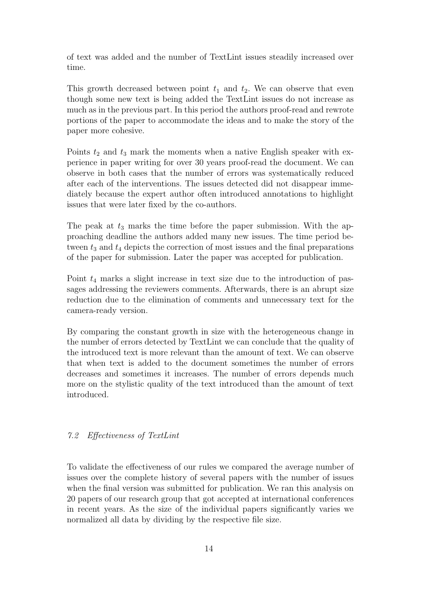of text was added and the number of TextLint issues steadily increased over time.

This growth decreased between point  $t_1$  and  $t_2$ . We can observe that even though some new text is being added the TextLint issues do not increase as much as in the previous part. In this period the authors proof-read and rewrote portions of the paper to accommodate the ideas and to make the story of the paper more cohesive.

Points  $t_2$  and  $t_3$  mark the moments when a native English speaker with experience in paper writing for over 30 years proof-read the document. We can observe in both cases that the number of errors was systematically reduced after each of the interventions. The issues detected did not disappear immediately because the expert author often introduced annotations to highlight issues that were later fixed by the co-authors.

The peak at  $t_3$  marks the time before the paper submission. With the approaching deadline the authors added many new issues. The time period between  $t_3$  and  $t_4$  depicts the correction of most issues and the final preparations of the paper for submission. Later the paper was accepted for publication.

Point *t*<sup>4</sup> marks a slight increase in text size due to the introduction of passages addressing the reviewers comments. Afterwards, there is an abrupt size reduction due to the elimination of comments and unnecessary text for the camera-ready version.

By comparing the constant growth in size with the heterogeneous change in the number of errors detected by TextLint we can conclude that the quality of the introduced text is more relevant than the amount of text. We can observe that when text is added to the document sometimes the number of errors decreases and sometimes it increases. The number of errors depends much more on the stylistic quality of the text introduced than the amount of text introduced.

# *7.2 Effectiveness of TextLint*

To validate the effectiveness of our rules we compared the average number of issues over the complete history of several papers with the number of issues when the final version was submitted for publication. We ran this analysis on 20 papers of our research group that got accepted at international conferences in recent years. As the size of the individual papers significantly varies we normalized all data by dividing by the respective file size.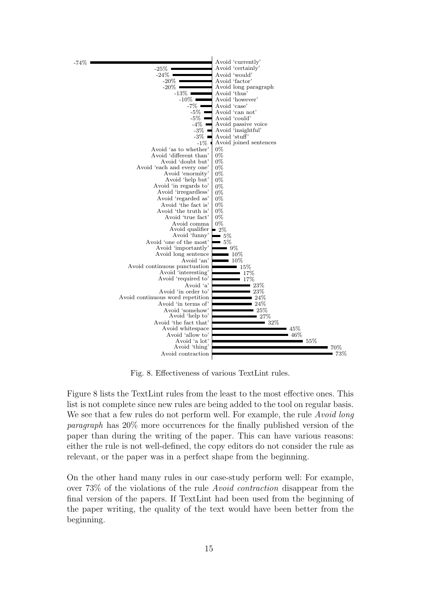<span id="page-14-0"></span>



Fig. 8. Effectiveness of various TextLint rules.

Figure 8 lists the TextLint rules from the least to the most effective ones. This list is not complete since new rules are being added to the tool on regular basis. We see that a few rules do not perform well. For example, the rule *Avoid long paragraph* has 20% more occurrences for the finally published version of the [paper th](#page-14-0)an during the writing of the paper. This can have various reasons: either the rule is not well-defined, the copy editors do not consider the rule as relevant, or the paper was in a perfect shape from the beginning.

On the other hand many rules in our case-study perform well: For example, over 73% of the violations of the rule *Avoid contraction* disappear from the final version of the papers. If TextLint had been used from the beginning of the paper writing, the quality of the text would have been better from the beginning.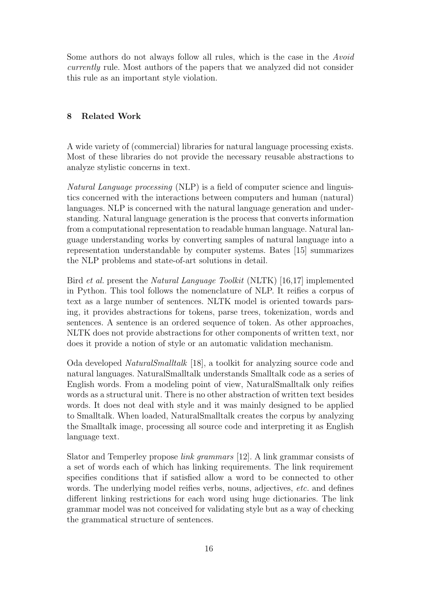Some authors do not always follow all rules, which is the case in the *Avoid currently* rule. Most authors of the papers that we analyzed did not consider this rule as an important style violation.

# **8 Related Work**

A wide variety of (commercial) libraries for natural language processing exists. Most of these libraries do not provide the necessary reusable abstractions to analyze stylistic concerns in text.

*Natural Language processing* (NLP) is a field of computer science and linguistics concerned with the interactions between computers and human (natural) languages. NLP is concerned with the natural language generation and understanding. Natural language generation is the process that converts information from a computational representation to readable human language. Natural language understanding works by converting samples of natural language into a representation understandable by computer systems. Bates [15] summarizes the NLP problems and state-of-art solutions in detail.

Bird *et al.* present the *Natural Language Toolkit* (NLTK) [16,17] implemented in Python. This tool follows the nomenclature of NLP. It re[ifie](#page-18-4)s a corpus of text as a large number of sentences. NLTK model is oriented towards parsing, it provides abstractions for tokens, parse trees, toke[niz](#page-18-5)[atio](#page-18-6)n, words and sentences. A sentence is an ordered sequence of token. As other approaches, NLTK does not provide abstractions for other components of written text, nor does it provide a notion of style or an automatic validation mechanism.

Oda developed *NaturalSmalltalk* [18], a toolkit for analyzing source code and natural languages. NaturalSmalltalk understands Smalltalk code as a series of English words. From a modeling point of view, NaturalSmalltalk only reifies words as a structural unit. There i[s no](#page-18-7) other abstraction of written text besides words. It does not deal with style and it was mainly designed to be applied to Smalltalk. When loaded, NaturalSmalltalk creates the corpus by analyzing the Smalltalk image, processing all source code and interpreting it as English language text.

Slator and Temperley propose *link grammars* [12]. A link grammar consists of a set of words each of which has linking requirements. The link requirement specifies conditions that if satisfied allow a word to be connected to other words. The underlying model reifies verbs, no[uns](#page-18-8), adjectives, *etc.* and defines different linking restrictions for each word using huge dictionaries. The link grammar model was not conceived for validating style but as a way of checking the grammatical structure of sentences.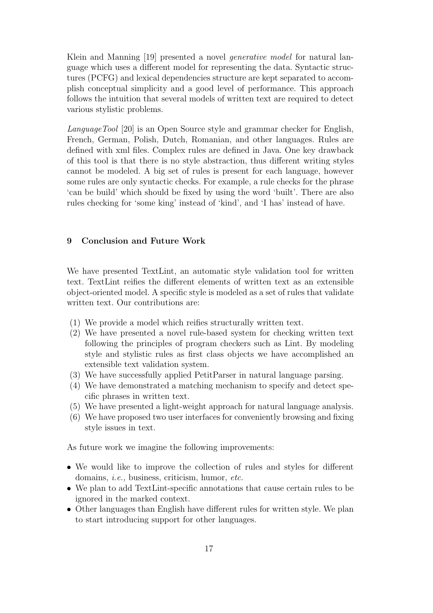Klein and Manning [19] presented a novel *generative model* for natural language which uses a different model for representing the data. Syntactic structures (PCFG) and lexical dependencies structure are kept separated to accomplish conceptual sim[plic](#page-18-9)ity and a good level of performance. This approach follows the intuition that several models of written text are required to detect various stylistic problems.

*LanguageTool* [20] is an Open Source style and grammar checker for English, French, German, Polish, Dutch, Romanian, and other languages. Rules are defined with xml files. Complex rules are defined in Java. One key drawback of this tool is [tha](#page-19-0)t there is no style abstraction, thus different writing styles cannot be modeled. A big set of rules is present for each language, however some rules are only syntactic checks. For example, a rule checks for the phrase 'can be build' which should be fixed by using the word 'built'. There are also rules checking for 'some king' instead of 'kind', and 'I has' instead of have.

#### **9 Conclusion and Future Work**

<span id="page-16-0"></span>We have presented TextLint, an automatic style validation tool for written text. TextLint reifies the different elements of written text as an extensible object-oriented model. A specific style is modeled as a set of rules that validate written text. Our contributions are:

- (1) We provide a model which reifies structurally written text.
- (2) We have presented a novel rule-based system for checking written text following the principles of program checkers such as Lint. By modeling style and stylistic rules as first class objects we have accomplished an extensible text validation system.
- (3) We have successfully applied PetitParser in natural language parsing.
- (4) We have demonstrated a matching mechanism to specify and detect specific phrases in written text.
- (5) We have presented a light-weight approach for natural language analysis.
- (6) We have proposed two user interfaces for conveniently browsing and fixing style issues in text.

As future work we imagine the following improvements:

- We would like to improve the collection of rules and styles for different domains, *i.e.,* business, criticism, humor, *etc.*
- We plan to add TextLint-specific annotations that cause certain rules to be ignored in the marked context.
- Other languages than English have different rules for written style. We plan to start introducing support for other languages.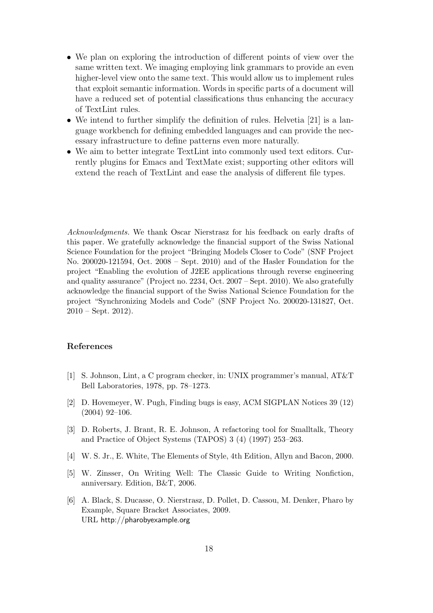- We plan on exploring the introduction of different points of view over the same written text. We imaging employing link grammars to provide an even higher-level view onto the same text. This would allow us to implement rules that exploit semantic information. Words in specific parts of a document will have a reduced set of potential classifications thus enhancing the accuracy of TextLint rules.
- We intend to further simplify the definition of rules. Helvetia [21] is a language workbench for defining embedded languages and can provide the necessary infrastructure to define patterns even more naturally.
- We aim to better integrate TextLint into commonly used text [edit](#page-19-1)ors. Currently plugins for Emacs and TextMate exist; supporting other editors will extend the reach of TextLint and ease the analysis of different file types.

*Acknowledgments.* We thank Oscar Nierstrasz for his feedback on early drafts of this paper. We gratefully acknowledge the financial support of the Swiss National Science Foundation for the project "Bringing Models Closer to Code" (SNF Project No. 200020-121594, Oct. 2008 – Sept. 2010) and of the Hasler Foundation for the project "Enabling the evolution of J2EE applications through reverse engineering and quality assurance" (Project no. 2234, Oct. 2007 – Sept. 2010). We also gratefully acknowledge the financial support of the Swiss National Science Foundation for the project "Synchronizing Models and Code" (SNF Project No. 200020-131827, Oct.  $2010 - Sept. 2012$ .

#### **References**

- [1] S. Johnson, Lint, a C program checker, in: UNIX programmer's manual, AT&T Bell Laboratories, 1978, pp. 78–1273.
- <span id="page-17-0"></span>[2] D. Hovemeyer, W. Pugh, Finding bugs is easy, ACM SIGPLAN Notices 39 (12) (2004) 92–106.
- <span id="page-17-1"></span>[3] D. Roberts, J. Brant, R. E. Johnson, A refactoring tool for Smalltalk, Theory and Practice of Object Systems (TAPOS) 3 (4) (1997) 253–263.
- <span id="page-17-2"></span>[4] W. S. Jr., E. White, The Elements of Style, 4th Edition, Allyn and Bacon, 2000.
- [5] W. Zinsser, On Writing Well: The Classic Guide to Writing Nonfiction, anniversary. Edition, B&T, 2006.
- <span id="page-17-5"></span><span id="page-17-4"></span><span id="page-17-3"></span>[6] A. Black, S. Ducasse, O. Nierstrasz, D. Pollet, D. Cassou, M. Denker, Pharo by Example, Square Bracket Associates, 2009. URL http://pharobyexample.org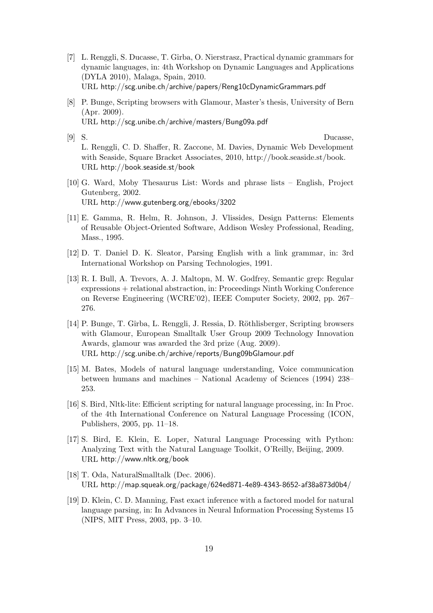- [7] L. Renggli, S. Ducasse, T. Gˆırba, O. Nierstrasz, Practical dynamic grammars for dynamic languages, in: 4th Workshop on Dynamic Languages and Applications (DYLA 2010), Malaga, Spain, 2010. URL http://scg.unibe.ch/archive/papers/Reng10cDynamicGrammars.pdf
- <span id="page-18-0"></span>[8] P. Bunge, Scripting browsers with Glamour, Master's thesis, University of Bern (Apr. 2009). URL [http://scg.unibe.ch/archive/masters/Bung09a.pdf](http://scg.unibe.ch/archive/papers/Reng10cDynamicGrammars.pdf)
- [9] S. Ducasse, L. Renggli, C. D. Shaffer, R. Zaccone, M. Davies, Dynamic Web Development with [Seaside, Square Bracket Associates, 2010, http://](http://scg.unibe.ch/archive/masters/Bung09a.pdf)book.seaside.st/book. URL http://book.seaside.st/book
- <span id="page-18-1"></span>[10] G. Ward, Moby Thesaurus List: Words and phrase lists – English, Project Gutenberg, 2002. URL [http://www.gutenberg.org/e](http://book.seaside.st/book)books/3202
- [11] E. Gamma, R. Helm, R. Johnson, J. Vlissides, Design Patterns: Elements of Reusable Object-Oriented Software, Addison Wesley Professional, Reading, Mass.[, 1995.](http://www.gutenberg.org/ebooks/3202)
- <span id="page-18-2"></span>[12] D. T. Daniel D. K. Sleator, Parsing English with a link grammar, in: 3rd International Workshop on Parsing Technologies, 1991.
- <span id="page-18-8"></span>[13] R. I. Bull, A. Trevors, A. J. Maltopn, M. W. Godfrey, Semantic grep: Regular expressions + relational abstraction, in: Proceedings Ninth Working Conference on Reverse Engineering (WCRE'02), IEEE Computer Society, 2002, pp. 267– 276.
- <span id="page-18-3"></span>[14] P. Bunge, T. Gîrba, L. Renggli, J. Ressia, D. Röthlisberger, Scripting browsers with Glamour, European Smalltalk User Group 2009 Technology Innovation Awards, glamour was awarded the 3rd prize (Aug. 2009). URL http://scg.unibe.ch/archive/reports/Bung09bGlamour.pdf
- [15] M. Bates, Models of natural language understanding, Voice communication between humans and machines – National Academy of Sciences (1994) 238– 253.
- <span id="page-18-4"></span>[16] S. Bird, Nltk-lite: Efficient scripting for natural language processing, in: In Proc. of the 4th International Conference on Natural Language Processing (ICON, Publishers, 2005, pp. 11–18.
- <span id="page-18-5"></span>[17] S. Bird, E. Klein, E. Loper, Natural Language Processing with Python: Analyzing Text with the Natural Language Toolkit, O'Reilly, Beijing, 2009. URL http://www.nltk.org/book
- <span id="page-18-6"></span>[18] T. Oda, NaturalSmalltalk (Dec. 2006). URL http://map.squeak.org/package/624ed871-4e89-4343-8652-af38a873d0b4/
- <span id="page-18-9"></span><span id="page-18-7"></span>[19] D. Kl[ein, C. D. Manning, Fast e](http://www.nltk.org/book)xact inference with a factored model for natural language parsing, in: In Advances in Neural Information Processing Systems 15 (NIP[S, MIT Press, 2003, pp. 3–10.](http://map.squeak.org/package/624ed871-4e89-4343-8652-af38a873d0b4/)